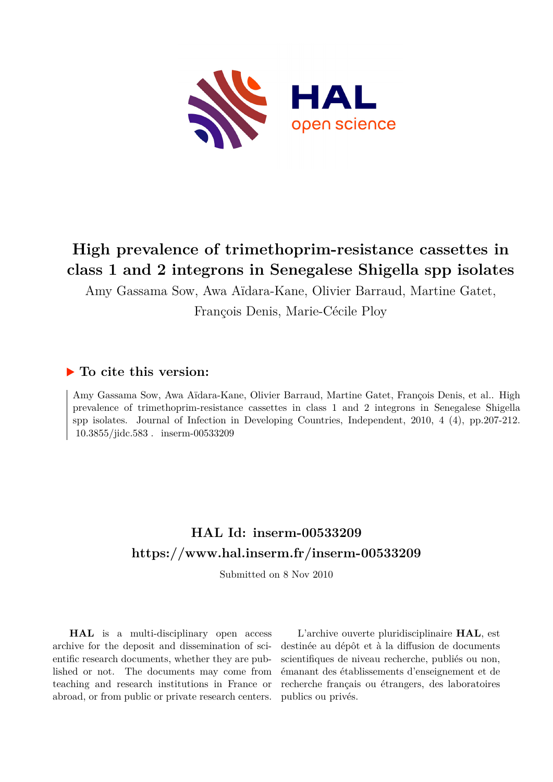

# **High prevalence of trimethoprim-resistance cassettes in class 1 and 2 integrons in Senegalese Shigella spp isolates**

Amy Gassama Sow, Awa Aïdara-Kane, Olivier Barraud, Martine Gatet, François Denis, Marie-Cécile Ploy

# **To cite this version:**

Amy Gassama Sow, Awa Aïdara-Kane, Olivier Barraud, Martine Gatet, François Denis, et al.. High prevalence of trimethoprim-resistance cassettes in class 1 and 2 integrons in Senegalese Shigella spp isolates. Journal of Infection in Developing Countries, Independent, 2010, 4 (4), pp.207-212. 10.3855/jidc.583. inserm-00533209

# **HAL Id: inserm-00533209 <https://www.hal.inserm.fr/inserm-00533209>**

Submitted on 8 Nov 2010

**HAL** is a multi-disciplinary open access archive for the deposit and dissemination of scientific research documents, whether they are published or not. The documents may come from teaching and research institutions in France or abroad, or from public or private research centers.

L'archive ouverte pluridisciplinaire **HAL**, est destinée au dépôt et à la diffusion de documents scientifiques de niveau recherche, publiés ou non, émanant des établissements d'enseignement et de recherche français ou étrangers, des laboratoires publics ou privés.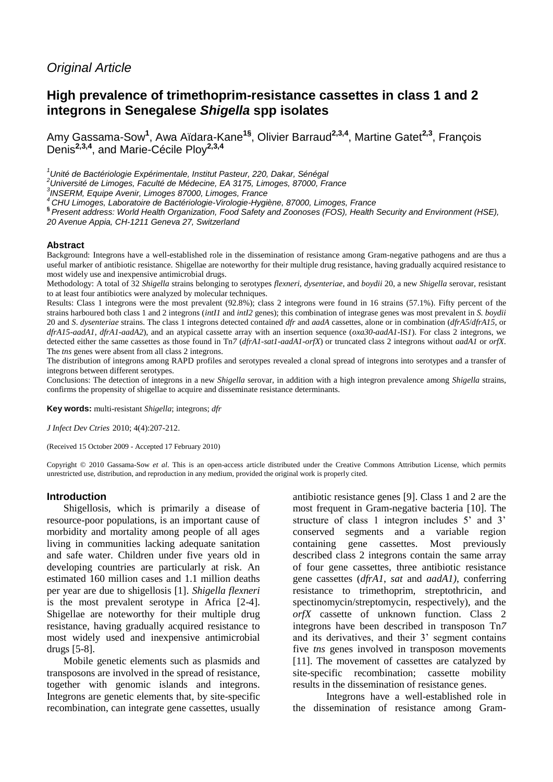# *Original Article*

# **High prevalence of trimethoprim-resistance cassettes in class 1 and 2 integrons in Senegalese** *Shigella* **spp isolates**

Amy Gassama-Sow**<sup>1</sup>** , Awa Aïdara-Kane**1§** , Olivier Barraud**2,3,4** , Martine Gatet**2,3**, François Denis**2,3,4** , and Marie-Cécile Ploy**2,3,4**

*<sup>1</sup>Unité de Bactériologie Expérimentale, Institut Pasteur, 220, Dakar, Sénégal*

*<sup>2</sup>Université de Limoges, Faculté de Médecine, EA 3175, Limoges, 87000, France*

*3 INSERM, Equipe Avenir, Limoges 87000, Limoges, France*

*<sup>4</sup>CHU Limoges, Laboratoire de Bactériologie-Virologie-Hygiène, 87000, Limoges, France*

**§** *Present address: World Health Organization, Food Safety and Zoonoses (FOS), Health Security and Environment (HSE), 20 Avenue Appia, CH-1211 Geneva 27, Switzerland* 

#### **Abstract**

Background: Integrons have a well-established role in the dissemination of resistance among Gram-negative pathogens and are thus a useful marker of antibiotic resistance. Shigellae are noteworthy for their multiple drug resistance, having gradually acquired resistance to most widely use and inexpensive antimicrobial drugs.

Methodology: A total of 32 *Shigella* strains belonging to serotypes *flexneri*, *dysenteriae*, and *boydii* 20, a new *Shigella* serovar, resistant to at least four antibiotics were analyzed by molecular techniques.

Results: Class 1 integrons were the most prevalent (92.8%); class 2 integrons were found in 16 strains (57.1%). Fifty percent of the strains harboured both class 1 and 2 integrons (*intI1* and *intI2* genes); this combination of integrase genes was most prevalent in *S. boydii*  20 and *S*. *dysenteriae* strains. The class 1 integrons detected contained *dfr* and *aadA* cassettes, alone or in combination (*dfrA5*/*dfrA15*, or *dfrA15*-*aadA1*, *dfrA1*-*aadA2*), and an atypical cassette array with an insertion sequence (*oxa30*-*aadA1-*IS*1*). For class 2 integrons, we detected either the same cassettes as those found in Tn*7* (*dfrA1*-*sat1*-*aadA1*-*orfX*) or truncated class 2 integrons without *aadA1* or *orfX*. The *tns* genes were absent from all class 2 integrons.

The distribution of integrons among RAPD profiles and serotypes revealed a clonal spread of integrons into serotypes and a transfer of integrons between different serotypes.

Conclusions: The detection of integrons in a new *Shigella* serovar, in addition with a high integron prevalence among *Shigella* strains, confirms the propensity of shigellae to acquire and disseminate resistance determinants.

**Key words:** multi-resistant *Shigella*; integrons; *dfr*

*J Infect Dev Ctries* 2010; 4(4):207-212.

(Received 15 October 2009 - Accepted 17 February 2010)

Copyright © 2010 Gassama-Sow *et al*. This is an open-access article distributed under the Creative Commons Attribution License, which permits unrestricted use, distribution, and reproduction in any medium, provided the original work is properly cited.

#### **Introduction**

Shigellosis, which is primarily a disease of resource-poor populations, is an important cause of morbidity and mortality among people of all ages living in communities lacking adequate sanitation and safe water. Children under five years old in developing countries are particularly at risk. An estimated 160 million cases and 1.1 million deaths per year are due to shigellosis [1]. *Shigella flexneri* is the most prevalent serotype in Africa [2-4]. Shigellae are noteworthy for their multiple drug resistance, having gradually acquired resistance to most widely used and inexpensive antimicrobial drugs [5-8].

Mobile genetic elements such as plasmids and transposons are involved in the spread of resistance, together with genomic islands and integrons. Integrons are genetic elements that, by site-specific recombination, can integrate gene cassettes, usually

antibiotic resistance genes [9]. Class 1 and 2 are the most frequent in Gram-negative bacteria [10]. The structure of class 1 integron includes 5' and 3' conserved segments and a variable region containing gene cassettes. Most previously described class 2 integrons contain the same array of four gene cassettes, three antibiotic resistance gene cassettes (*dfrA1*, *sat* and *aadA1)*, conferring resistance to trimethoprim, streptothricin, and spectinomycin/streptomycin, respectively), and the *orfX* cassette of unknown function. Class 2 integrons have been described in transposon Tn*7* and its derivatives, and their 3' segment contains five *tns* genes involved in transposon movements [11]. The movement of cassettes are catalyzed by site-specific recombination; cassette mobility results in the dissemination of resistance genes.

Integrons have a well-established role in the dissemination of resistance among Gram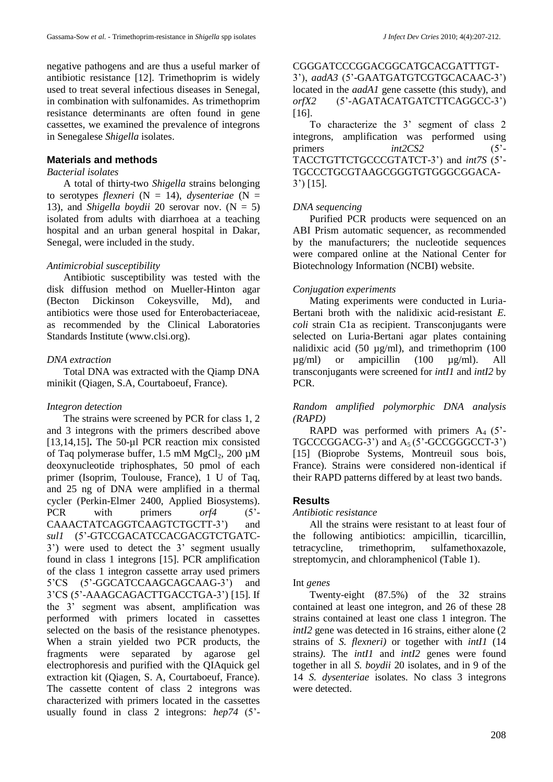negative pathogens and are thus a useful marker of antibiotic resistance [12]. Trimethoprim is widely used to treat several infectious diseases in Senegal, in combination with sulfonamides. As trimethoprim resistance determinants are often found in gene cassettes, we examined the prevalence of integrons in Senegalese *Shigella* isolates.

### **Materials and methods**

#### *Bacterial isolates*

A total of thirty-two *Shigella* strains belonging to serotypes *flexneri* ( $N = 14$ ), *dysenteriae* ( $N = 14$ ) 13), and *Shigella boydii* 20 serovar nov.  $(N = 5)$ isolated from adults with diarrhoea at a teaching hospital and an urban general hospital in Dakar, Senegal, were included in the study.

### *Antimicrobial susceptibility*

Antibiotic susceptibility was tested with the disk diffusion method on Mueller-Hinton agar (Becton Dickinson Cokeysville, Md), and antibiotics were those used for Enterobacteriaceae, as recommended by the Clinical Laboratories Standards Institute (www.clsi.org).

### *DNA extraction*

Total DNA was extracted with the Qiamp DNA minikit (Qiagen, S.A, Courtaboeuf, France).

#### *Integron detection*

The strains were screened by PCR for class 1, 2 and 3 integrons with the primers described above [13,14,15]**.** The 50-µl PCR reaction mix consisted of Taq polymerase buffer,  $1.5 \text{ mM } MgCl_2$ ,  $200 \text{ µM}$ deoxynucleotide triphosphates, 50 pmol of each primer (Isoprim, Toulouse, France), 1 U of Taq, and 25 ng of DNA were amplified in a thermal cycler (Perkin-Elmer 2400, Applied Biosystems). PCR with primers *orf4* (5<sup>2</sup>-CAAACTATCAGGTCAAGTCTGCTT-3') and *sul1* (5'-GTCCGACATCCACGACGTCTGATC-3') were used to detect the 3' segment usually found in class 1 integrons [15]. PCR amplification of the class 1 integron cassette array used primers 5'CS (5'-GGCATCCAAGCAGCAAG-3') and 3'CS (5'-AAAGCAGACTTGACCTGA-3') [15]. If the 3' segment was absent, amplification was performed with primers located in cassettes selected on the basis of the resistance phenotypes. When a strain yielded two PCR products, the fragments were separated by agarose gel electrophoresis and purified with the QIAquick gel extraction kit (Qiagen, S. A, Courtaboeuf, France). The cassette content of class 2 integrons was characterized with primers located in the cassettes usually found in class 2 integrons: *hep74* (5'-

CGGGATCCCGGACGGCATGCACGATTTGT-3'), *aadA3* (5'-GAATGATGTCGTGCACAAC-3') located in the *aadA1* gene cassette (this study), and *orfX2* (5'-AGATACATGATCTTCAGGCC-3') [16].

To characterize the 3' segment of class 2 integrons, amplification was performed using primers *int2CS2* (5'-TACCTGTTCTGCCCGTATCT-3') and *int7S* (5'- TGCCCTGCGTAAGCGGGTGTGGGCGGACA-3') [15].

### *DNA sequencing*

Purified PCR products were sequenced on an ABI Prism automatic sequencer, as recommended by the manufacturers; the nucleotide sequences were compared online at the National Center for Biotechnology Information (NCBI) website.

#### *Conjugation experiments*

Mating experiments were conducted in Luria-Bertani broth with the nalidixic acid-resistant *E. coli* strain C1a as recipient. Transconjugants were selected on Luria-Bertani agar plates containing nalidixic acid (50  $\mu$ g/ml), and trimethoprim (100 µg/ml) or ampicillin (100 µg/ml). All transconjugants were screened for *intI1* and *intI2* by PCR.

## *Random amplified polymorphic DNA analysis (RAPD)*

RAPD was performed with primers  $A_4$  (5<sup>2</sup>- $TGCCCGGACG-3'$  and  $A_5$  (5'-GCCGGGCCT-3') [15] (Bioprobe Systems, Montreuil sous bois, France). Strains were considered non-identical if their RAPD patterns differed by at least two bands.

#### **Results**

#### *Antibiotic resistance*

All the strains were resistant to at least four of the following antibiotics: ampicillin, ticarcillin, tetracycline, trimethoprim, sulfamethoxazole, streptomycin, and chloramphenicol (Table 1).

#### Int *genes*

Twenty-eight (87.5%) of the 32 strains contained at least one integron, and 26 of these 28 strains contained at least one class 1 integron. The *intI2* gene was detected in 16 strains, either alone (2) strains of *S. flexneri)* or together with *intI1* (14 strains*)*. The *intI1* and *intI2* genes were found together in all *S. boydii* 20 isolates, and in 9 of the 14 *S. dysenteriae* isolates. No class 3 integrons were detected.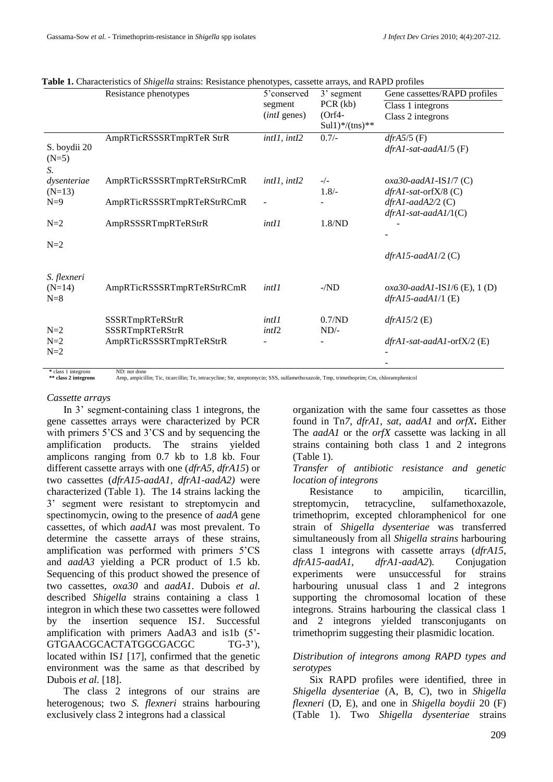|                         |                            | $\sim$ 1             |                  |                                 |
|-------------------------|----------------------------|----------------------|------------------|---------------------------------|
|                         | Resistance phenotypes      | 5'conserved          | 3' segment       | Gene cassettes/RAPD profiles    |
|                         |                            | segment              | PCR (kb)         | Class 1 integrons               |
|                         |                            | ( <i>intI</i> genes) | $Orf4-$          | Class 2 integrons               |
|                         |                            |                      | $Sul1)*/(tns)**$ |                                 |
|                         | AmpRTicRSSSRTmpRTeR StrR   | int11, int12         | $0.7/-$          | $dfrA5/5$ (F)                   |
| S. boydii 20<br>$(N=5)$ |                            |                      |                  | $dfrA1-sat-aadA1/5$ (F)         |
| S.                      |                            |                      |                  |                                 |
| dysenteriae             | AmpRTicRSSSRTmpRTeRStrRCmR | intI1, intI2         | $-/-$            | $oxa30-aadA1$ -IS $1/7$ (C)     |
| $(N=13)$                |                            |                      | $1.8/-$          | $dfrA1-sat-orfX/8$ (C)          |
| $N=9$                   | AmpRTicRSSSRTmpRTeRStrRCmR |                      |                  | $dfrA1-aadA2/2$ (C)             |
|                         |                            |                      |                  | $dfrA1-sat-aadA1/(C)$           |
| $N=2$                   | AmpRSSSRTmpRTeRStrR        | intII                | 1.8/ND           |                                 |
|                         |                            |                      |                  |                                 |
| $N=2$                   |                            |                      |                  |                                 |
|                         |                            |                      |                  | $dfrA15-aadA1/2 (C)$            |
|                         |                            |                      |                  |                                 |
| S. flexneri<br>$(N=14)$ | AmpRTicRSSSRTmpRTeRStrRCmR | intII                | $-ND$            | $oxa30$ -aadA1-IS1/6 (E), 1 (D) |
| $N=8$                   |                            |                      |                  | $dfrA15-aadA1/1$ (E)            |
|                         |                            |                      |                  |                                 |
|                         | SSSRTmpRTeRStrR            | intII                | 0.7/ND           | $dfrA15/2$ (E)                  |
| $N=2$                   | SSSRTmpRTeRStrR            | int12                | $ND/-$           |                                 |
| $N=2$                   | AmpRTicRSSSRTmpRTeRStrR    |                      |                  | $dfrA1-sat-aadA1-orfX/2$ (E)    |
| $N=2$                   |                            |                      |                  |                                 |
|                         |                            |                      |                  |                                 |
| * class 1 integrons     | ND: not done               |                      |                  |                                 |

| Table 1. Characteristics of Shigella strains: Resistance phenotypes, cassette arrays, and RAPD profiles |  |  |  |
|---------------------------------------------------------------------------------------------------------|--|--|--|
|---------------------------------------------------------------------------------------------------------|--|--|--|

\*\* class 2 integrons

**\*\* class 2 integrons** Amp, ampicillin; Tic, ticarcillin; Te, tetracycline; Str, streptomycin; SSS, sulfamethoxazole, Tmp, trimethoprim; Cm, chloramphenicol

#### *Cassette arrays*

In 3' segment-containing class 1 integrons, the gene cassettes arrays were characterized by PCR with primers 5'CS and 3'CS and by sequencing the amplification products. The strains yielded amplicons ranging from 0.7 kb to 1.8 kb. Four different cassette arrays with one (*dfrA5*, *dfrA15*) or two cassettes (*dfrA15-aadA1, dfrA1-aadA2)* were characterized (Table 1). The 14 strains lacking the 3' segment were resistant to streptomycin and spectinomycin, owing to the presence of *aadA* gene cassettes, of which *aadA1* was most prevalent. To determine the cassette arrays of these strains, amplification was performed with primers 5'CS and *aadA3* yielding a PCR product of 1.5 kb. Sequencing of this product showed the presence of two cassettes, *oxa30* and *aadA1*. Dubois *et al*. described *Shigella* strains containing a class 1 integron in which these two cassettes were followed by the insertion sequence IS*1*. Successful amplification with primers AadA3 and is1b (5'- GTGAACGCACTATGGCGACGC TG-3'), located within IS<sub>1</sub> [17], confirmed that the genetic environment was the same as that described by Dubois *et al.* [18].

The class 2 integrons of our strains are heterogenous; two *S. flexneri* strains harbouring exclusively class 2 integrons had a classical

organization with the same four cassettes as those found in Tn*7*, *dfrA1*, *sat*, *aadA1* and *orfX***.** Either The *aadA1* or the *orfX* cassette was lacking in all strains containing both class 1 and 2 integrons (Table 1).

## *Transfer of antibiotic resistance and genetic location of integrons*

Resistance to ampicilin, ticarcillin, streptomycin, tetracycline, sulfamethoxazole, trimethoprim, excepted chloramphenicol for one strain of *Shigella dysenteriae* was transferred simultaneously from all *Shigella strains* harbouring class 1 integrons with cassette arrays (*dfrA15*, *dfrA15-aadA1*, *dfrA1-aadA2*)*.* Conjugation experiments were unsuccessful for strains harbouring unusual class 1 and 2 integrons supporting the chromosomal location of these integrons. Strains harbouring the classical class 1 and 2 integrons yielded transconjugants on trimethoprim suggesting their plasmidic location.

## *Distribution of integrons among RAPD types and serotypes*

Six RAPD profiles were identified, three in *Shigella dysenteriae* (A, B, C), two in *Shigella flexneri* (D, E), and one in *Shigella boydii* 20 (F) (Table 1). Two *Shigella dysenteriae* strains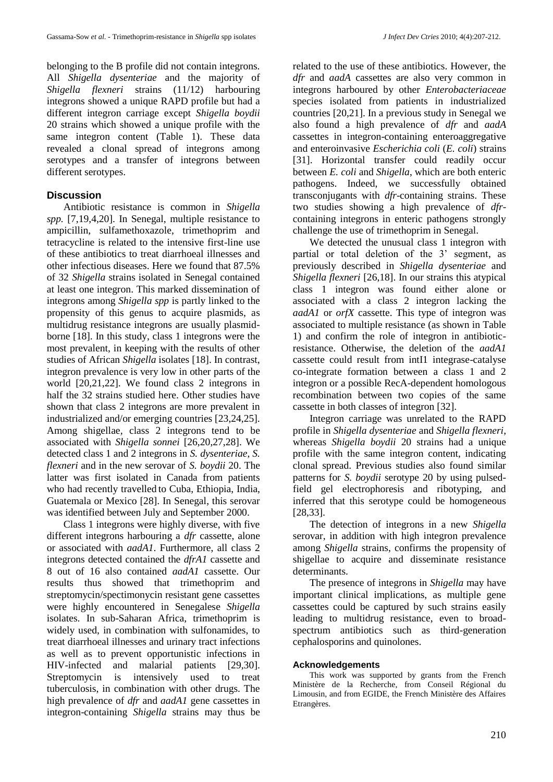belonging to the B profile did not contain integrons. All *Shigella dysenteriae* and the majority of *Shigella flexneri* strains (11/12) harbouring integrons showed a unique RAPD profile but had a different integron carriage except *Shigella boydii*  20 strains which showed a unique profile with the same integron content (Table 1). These data revealed a clonal spread of integrons among serotypes and a transfer of integrons between different serotypes.

# **Discussion**

Antibiotic resistance is common in *Shigella spp.* [7,19,4,20]. In Senegal, multiple resistance to ampicillin, sulfamethoxazole, trimethoprim and tetracycline is related to the intensive first-line use of these antibiotics to treat diarrhoeal illnesses and other infectious diseases. Here we found that 87.5% of 32 *Shigella* strains isolated in Senegal contained at least one integron. This marked dissemination of integrons among *Shigella spp* is partly linked to the propensity of this genus to acquire plasmids, as multidrug resistance integrons are usually plasmidborne [18]. In this study, class 1 integrons were the most prevalent, in keeping with the results of other studies of African *Shigella* isolates [18]. In contrast, integron prevalence is very low in other parts of the world [20,21,22]. We found class 2 integrons in half the 32 strains studied here. Other studies have shown that class 2 integrons are more prevalent in industrialized and/or emerging countries [23,24,25]. Among shigellae, class 2 integrons tend to be associated with *Shigella sonnei* [26,20,27,28]. We detected class 1 and 2 integrons in *S. dysenteriae*, *S. flexneri* and in the new serovar of *S. boydii* 20. The latter was first isolated in Canada from patients who had recently travelled to Cuba, Ethiopia, India, Guatemala or Mexico [28]. In Senegal, this serovar was identified between July and September 2000.

Class 1 integrons were highly diverse, with five different integrons harbouring a *dfr* cassette, alone or associated with *aadA1*. Furthermore, all class 2 integrons detected contained the *dfrA1* cassette and 8 out of 16 also contained *aadA1* cassette. Our results thus showed that trimethoprim and streptomycin/spectimonycin resistant gene cassettes were highly encountered in Senegalese *Shigella* isolates. In sub-Saharan Africa, trimethoprim is widely used, in combination with sulfonamides, to treat diarrhoeal illnesses and urinary tract infections as well as to prevent opportunistic infections in HIV-infected and malarial patients [29,30]. Streptomycin is intensively used to treat tuberculosis, in combination with other drugs. The high prevalence of *dfr* and *aadA1* gene cassettes in integron-containing *Shigella* strains may thus be

related to the use of these antibiotics. However, the *dfr* and *aadA* cassettes are also very common in integrons harboured by other *Enterobacteriaceae* species isolated from patients in industrialized countries [20,21]. In a previous study in Senegal we also found a high prevalence of *dfr* and *aadA* cassettes in integron-containing enteroaggregative and enteroinvasive *Escherichia coli* (*E. coli*) strains [31]. Horizontal transfer could readily occur between *E. coli* and *Shigella*, which are both enteric pathogens. Indeed, we successfully obtained transconjugants with *dfr*-containing strains. These two studies showing a high prevalence of *dfr*containing integrons in enteric pathogens strongly challenge the use of trimethoprim in Senegal.

We detected the unusual class 1 integron with partial or total deletion of the 3' segment, as previously described in *Shigella dysenteriae* and *Shigella flexneri* [26,18]. In our strains this atypical class 1 integron was found either alone or associated with a class 2 integron lacking the *aadA1* or *orfX* cassette. This type of integron was associated to multiple resistance (as shown in Table 1) and confirm the role of integron in antibioticresistance. Otherwise, the deletion of the *aadA1* cassette could result from intI1 integrase-catalyse co-integrate formation between a class 1 and 2 integron or a possible RecA-dependent homologous recombination between two copies of the same cassette in both classes of integron [32].

Integron carriage was unrelated to the RAPD profile in *Shigella dysenteriae* and *Shigella flexneri*, whereas *Shigella boydii* 20 strains had a unique profile with the same integron content, indicating clonal spread. Previous studies also found similar patterns for *S. boydii* serotype 20 by using pulsedfield gel electrophoresis and ribotyping, and inferred that this serotype could be homogeneous [28,33].

The detection of integrons in a new *Shigella* serovar, in addition with high integron prevalence among *Shigella* strains, confirms the propensity of shigellae to acquire and disseminate resistance determinants.

The presence of integrons in *Shigella* may have important clinical implications, as multiple gene cassettes could be captured by such strains easily leading to multidrug resistance, even to broadspectrum antibiotics such as third-generation cephalosporins and quinolones.

## **Acknowledgements**

This work was supported by grants from the French Ministère de la Recherche, from Conseil Régional du Limousin, and from EGIDE, the French Ministère des Affaires Etrangères.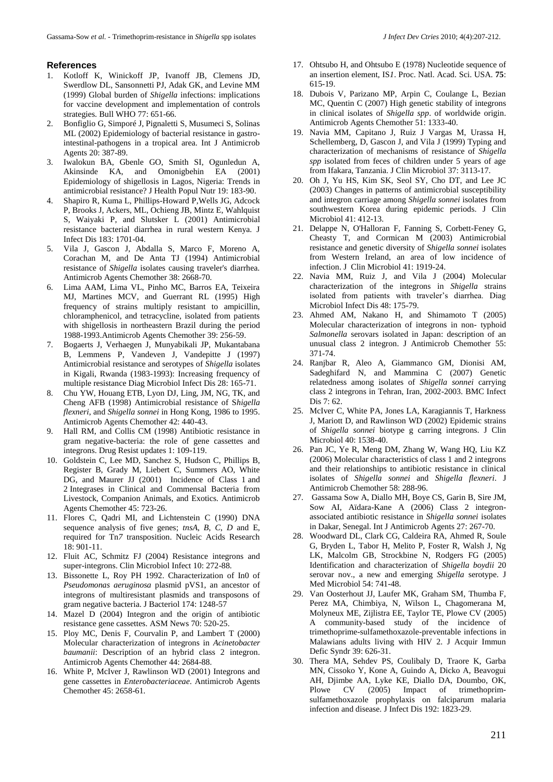#### **References**

- 1. Kotloff K, Winickoff JP, Ivanoff JB, Clemens JD, Swerdlow DL, Sansonnetti PJ, Adak GK, and Levine MM (1999) Global burden of *Shigella* infections: implications for vaccine development and implementation of controls strategies. Bull WHO 77: 651-66.
- 2. Bonfiglio G, Simporé J, Pignaletti S, Musumeci S, Solinas ML (2002) Epidemiology of bacterial resistance in gastrointestinal-pathogens in a tropical area. Int J Antimicrob Agents 20: 387-89.
- 3. Iwalokun BA, Gbenle GO, Smith SI, Ogunledun A, Akinsinde KA, and Omonigbehin EA (2001) Epidemiology of shigellosis in Lagos, Nigeria: Trends in antimicrobial resistance? J Health Popul Nutr 19: 183-90.
- 4. Shapiro R, Kuma L, Phillips-Howard P,Wells JG, Adcock P, Brooks J, Ackers, ML, Ochieng JB, Mintz E, Wahlquist S, Waiyaki P, and Slutsker L (2001) Antimicrobial resistance bacterial diarrhea in rural western Kenya. J Infect Dis 183: 1701-04.
- 5. Vila J, Gascon J, Abdalla S, Marco F, Moreno A, Corachan M, and De Anta TJ (1994) Antimicrobial resistance of *Shigella* isolates causing traveler's diarrhea. Antimicrob Agents Chemother 38: 2668-70.
- 6. Lima AAM, Lima VL, Pinho MC, Barros EA, Teixeira MJ, Martines MCV, and Guerrant RL (1995) High frequency of strains multiply resistant to ampicillin, chloramphenicol, and tetracycline, isolated from patients with shigellosis in northeastern Brazil during the period 1988-1993.Antimicrob Agents Chemother 39: 256-59.
- 7. Bogaerts J, Verhaegen J, Munyabikali JP, Mukantabana B, Lemmens P, Vandeven J, Vandepitte J (1997) Antimicrobial resistance and serotypes of *Shigella* isolates in Kigali, Rwanda (1983-1993): Increasing frequency of multiple resistance Diag Microbiol Infect Dis 28: 165-71.
- 8. Chu YW, Houang ETB, Lyon DJ, Ling, JM, NG, TK, and Cheng AFB (1998) Antimicrobial resistance of S*higella flexneri*, and *Shigella sonnei* in Hong Kong, 1986 to 1995. Antimicrob Agents Chemother 42: 440-43.
- 9. Hall RM, and Collis CM (1998) Antibiotic resistance in gram negative-bacteria: the role of gene cassettes and integrons. Drug Resist updates 1: 109-119.
- 10. Goldstein C, Lee MD, Sanchez S, Hudson C, Phillips B, Register B, Grady M, Liebert C, Summers AO, White DG, and Maurer JJ (2001) Incidence of Class 1 and 2 Integrases in Clinical and Commensal Bacteria from Livestock, Companion Animals, and Exotics. Antimicrob Agents Chemother 45: 723-26.
- 11. Flores C, Qadri MI, and Lichtenstein C (1990) DNA sequence analysis of five genes; *tnsA*, *B*, *C*, *D* and E, required for Tn*7* transposition. Nucleic Acids Research 18: 901-11.
- 12. Fluit AC, Schmitz FJ (2004) Resistance integrons and super-integrons. Clin Microbiol Infect 10: 272-88.
- 13. Bissonette L, Roy PH 1992. Characterization of In0 of *Pseudomonas aeruginosa* plasmid pVS1, an ancestor of integrons of multiresistant plasmids and transposons of gram negative bacteria. J Bacteriol 174: 1248-57
- 14. Mazel D (2004) Integron and the origin of antibiotic resistance gene cassettes. ASM News 70: 520-25.
- 15. Ploy MC, Denis F, Courvalin P, and Lambert T (2000) Molecular characterization of integrons in *Acinetobacter baumanii*: Description of an hybrid class 2 integron. Antimicrob Agents Chemother 44: 2684-88.
- 16. White P, McIver J, Rawlinson WD (2001) Integrons and gene cassettes in *Enterobacteriaceae*. Antimicrob Agents Chemother 45: 2658-61.
- 17. Ohtsubo H, and Ohtsubo E (1978) Nucleotide sequence of an insertion element, IS*1*. Proc. Natl. Acad. Sci. USA. **75**: 615-19.
- 18. Dubois V, Parizano MP, Arpin C, Coulange L, Bezian MC, Quentin C (2007) High genetic stability of integrons in clinical isolates of *Shigella spp*. of worldwide origin. Antimicrob Agents Chemother 51: 1333-40.
- 19. Navia MM, Capitano J, Ruiz J Vargas M, Urassa H, Schellemberg, D, Gascon J, and Vila J (1999) Typing and characterization of mechanisms of resistance of *Shigella spp* isolated from feces of children under 5 years of age from Ifakara, Tanzania. J Clin Microbiol 37: 3113-17.
- 20. Oh J, Yu HS, Kim SK, Seol SY, Cho DT, and Lee JC (2003) Changes in patterns of antimicrobial susceptibility and integron carriage among *Shigella sonnei* isolates from southwestern Korea during epidemic periods. J Clin Microbiol 41: 412-13.
- 21. Delappe N, O'Halloran F, Fanning S, Corbett-Feney G, Cheasty T, and Cormican M (2003) Antimicrobial resistance and genetic diversity of *Shigella sonnei* isolates from Western Ireland, an area of low incidence of infection. J Clin Microbiol 41: 1919-24.
- 22. Navia MM, Ruiz J, and Vila J (2004) Molecular characterization of the integrons in *Shigella* strains isolated from patients with traveler's diarrhea. Diag Microbiol Infect Dis 48: 175-79.
- 23. Ahmed AM, Nakano H, and Shimamoto T (2005) Molecular characterization of integrons in non- typhoid *Salmonella* serovars isolated in Japan: description of an unusual class 2 integron. J Antimicrob Chemother 55: 371-74.
- 24. Ranjbar R, Aleo A, Giammanco GM, Dionisi AM, Sadeghifard N, and Mammina C (2007) Genetic relatedness among isolates of *Shigella sonnei* carrying class 2 integrons in Tehran, Iran, 2002-2003. BMC Infect Dis 7: 62.
- 25. McIver C, White PA, Jones LA, Karagiannis T, Harkness J, Mariott D, and Rawlinson WD (2002) Epidemic strains of *Shigella sonnei* biotype g carring integrons. J Clin Microbiol 40: 1538-40.
- 26. Pan JC, Ye R, Meng DM, Zhang W, Wang HQ, Liu KZ (2006) Molecular characteristics of class 1 and 2 integrons and their relationships to antibiotic resistance in clinical isolates of *Shigella sonnei* and *Shigella flexneri*. J Antimicrob Chemother 58: 288-96.
- 27. Gassama Sow A, Diallo MH, Boye CS, Garin B, Sire JM, Sow AI, Aïdara-Kane A (2006) Class 2 integronassociated antibiotic resistance in *Shigella sonnei* isolates in Dakar, Senegal. Int J Antimicrob Agents 27: 267-70.
- 28. Woodward DL, Clark CG, Caldeira RA, Ahmed R, Soule G, Bryden L, Tabor H, Melito P, Foster R, Walsh J, Ng LK, Malcolm GB, Strockbine N, Rodgers FG (2005) Identification and characterization of *Shigella boydii* 20 serovar nov., a new and emerging *Shigella* serotype. J Med Microbiol 54: 741-48.
- 29. Van Oosterhout JJ, Laufer MK, Graham SM, Thumba F, Perez MA, Chimbiya, N, Wilson L, Chagomerana M, Molyneux ME, Zijlistra EE, Taylor TE, Plowe CV (2005) A community-based study of the incidence of trimethoprime-sulfamethoxazole-preventable infections in Malawians adults living with HIV 2. J Acquir Immun Defic Syndr 39: 626-31.
- 30. Thera MA, Sehdev PS, Coulibaly D, Traore K, Garba MN, Cissoko Y, Kone A, Guindo A, Dicko A, Beavogui AH, Djimbe AA, Lyke KE, Diallo DA, Doumbo, OK, Plowe CV (2005) Impact of trimethoprimsulfamethoxazole prophylaxis on falciparum malaria infection and disease. J Infect Dis 192: 1823-29.